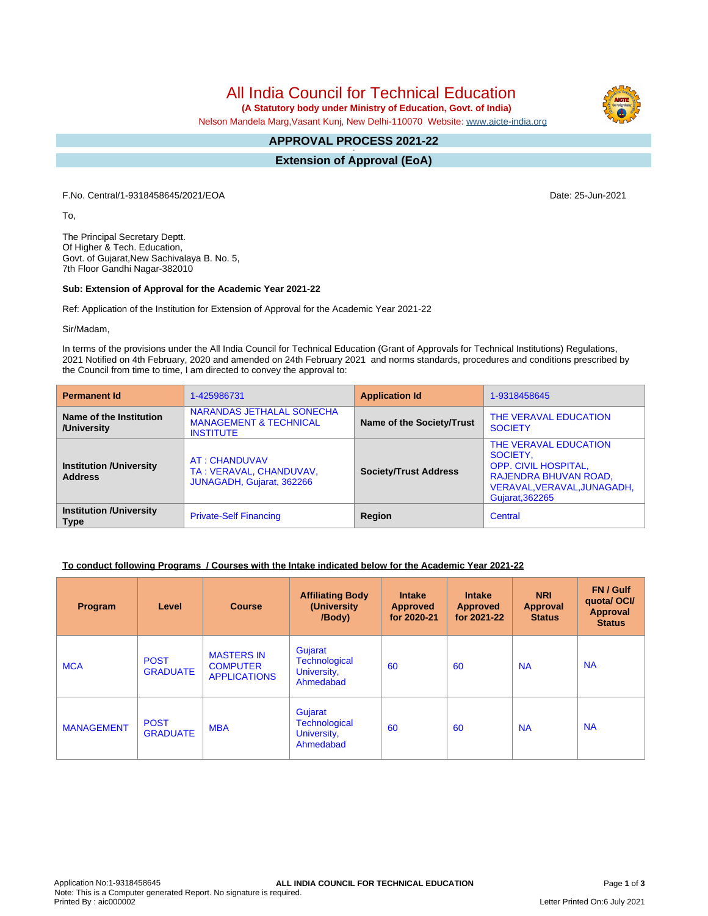All India Council for Technical Education

 **(A Statutory body under Ministry of Education, Govt. of India)**

Nelson Mandela Marg,Vasant Kunj, New Delhi-110070 Website: www.aicte-india.org

#### **APPROVAL PROCESS 2021-22 -**

**Extension of Approval (EoA)**

F.No. Central/1-9318458645/2021/EOA Date: 25-Jun-2021

To,

The Principal Secretary Deptt. Of Higher & Tech. Education, Govt. of Gujarat,New Sachivalaya B. No. 5, 7th Floor Gandhi Nagar-382010

### **Sub: Extension of Approval for the Academic Year 2021-22**

Ref: Application of the Institution for Extension of Approval for the Academic Year 2021-22

Sir/Madam,

In terms of the provisions under the All India Council for Technical Education (Grant of Approvals for Technical Institutions) Regulations, 2021 Notified on 4th February, 2020 and amended on 24th February 2021 and norms standards, procedures and conditions prescribed by the Council from time to time, I am directed to convey the approval to:

| <b>Permanent Id</b>                              | 1-425986731                                                                        | <b>Application Id</b>        | 1-9318458645                                                                                                                         |  |
|--------------------------------------------------|------------------------------------------------------------------------------------|------------------------------|--------------------------------------------------------------------------------------------------------------------------------------|--|
| Name of the Institution<br>/University           | NARANDAS JETHALAL SONECHA<br><b>MANAGEMENT &amp; TECHNICAL</b><br><b>INSTITUTE</b> | Name of the Society/Trust    | THE VERAVAL EDUCATION<br><b>SOCIETY</b>                                                                                              |  |
| <b>Institution /University</b><br><b>Address</b> | AT: CHANDUVAV<br>TA: VERAVAL, CHANDUVAV,<br>JUNAGADH, Gujarat, 362266              | <b>Society/Trust Address</b> | THE VERAVAL EDUCATION<br>SOCIETY,<br>OPP. CIVIL HOSPITAL,<br>RAJENDRA BHUVAN ROAD,<br>VERAVAL, VERAVAL, JUNAGADH,<br>Gujarat, 362265 |  |
| <b>Institution /University</b><br><b>Type</b>    | <b>Private-Self Financing</b>                                                      | Region                       | Central                                                                                                                              |  |

# **To conduct following Programs / Courses with the Intake indicated below for the Academic Year 2021-22**

| Program           | Level                          | <b>Course</b>                                               | <b>Affiliating Body</b><br>(University)<br>/Body)           | <b>Intake</b><br><b>Approved</b><br>for 2020-21 | <b>Intake</b><br><b>Approved</b><br>for 2021-22 | <b>NRI</b><br>Approval<br><b>Status</b> | FN / Gulf<br>quota/OCI/<br><b>Approval</b><br><b>Status</b> |
|-------------------|--------------------------------|-------------------------------------------------------------|-------------------------------------------------------------|-------------------------------------------------|-------------------------------------------------|-----------------------------------------|-------------------------------------------------------------|
| <b>MCA</b>        | <b>POST</b><br><b>GRADUATE</b> | <b>MASTERS IN</b><br><b>COMPUTER</b><br><b>APPLICATIONS</b> | Gujarat<br><b>Technological</b><br>University,<br>Ahmedabad | 60                                              | 60                                              | <b>NA</b>                               | <b>NA</b>                                                   |
| <b>MANAGEMENT</b> | <b>POST</b><br><b>GRADUATE</b> | <b>MBA</b>                                                  | Gujarat<br><b>Technological</b><br>University,<br>Ahmedabad | 60                                              | 60                                              | <b>NA</b>                               | <b>NA</b>                                                   |



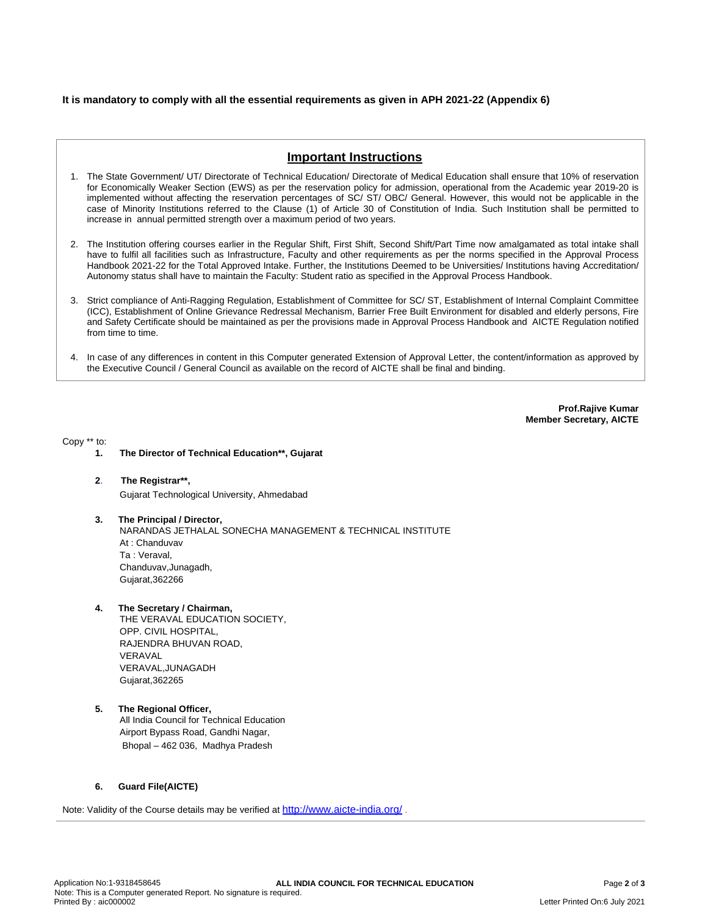## **It is mandatory to comply with all the essential requirements as given in APH 2021-22 (Appendix 6)**

# **Important Instructions**

- 1. The State Government/ UT/ Directorate of Technical Education/ Directorate of Medical Education shall ensure that 10% of reservation for Economically Weaker Section (EWS) as per the reservation policy for admission, operational from the Academic year 2019-20 is implemented without affecting the reservation percentages of SC/ ST/ OBC/ General. However, this would not be applicable in the case of Minority Institutions referred to the Clause (1) of Article 30 of Constitution of India. Such Institution shall be permitted to increase in annual permitted strength over a maximum period of two years.
- 2. The Institution offering courses earlier in the Regular Shift, First Shift, Second Shift/Part Time now amalgamated as total intake shall have to fulfil all facilities such as Infrastructure, Faculty and other requirements as per the norms specified in the Approval Process Handbook 2021-22 for the Total Approved Intake. Further, the Institutions Deemed to be Universities/ Institutions having Accreditation/ Autonomy status shall have to maintain the Faculty: Student ratio as specified in the Approval Process Handbook.
- 3. Strict compliance of Anti-Ragging Regulation, Establishment of Committee for SC/ ST, Establishment of Internal Complaint Committee (ICC), Establishment of Online Grievance Redressal Mechanism, Barrier Free Built Environment for disabled and elderly persons, Fire and Safety Certificate should be maintained as per the provisions made in Approval Process Handbook and AICTE Regulation notified from time to time.
- 4. In case of any differences in content in this Computer generated Extension of Approval Letter, the content/information as approved by the Executive Council / General Council as available on the record of AICTE shall be final and binding.

**Prof.Rajive Kumar Member Secretary, AICTE**

Copy \*\* to:

- **1. The Director of Technical Education\*\*, Gujarat**
- **2**. **The Registrar\*\*,** Gujarat Technological University, Ahmedabad
- **3. The Principal / Director,** NARANDAS JETHALAL SONECHA MANAGEMENT & TECHNICAL INSTITUTE At : Chanduvav Ta : Veraval, Chanduvav,Junagadh, Gujarat,362266
- **4. The Secretary / Chairman,**

THE VERAVAL EDUCATION SOCIETY, OPP. CIVIL HOSPITAL, RAJENDRA BHUVAN ROAD, **VERAVAL** VERAVAL,JUNAGADH Gujarat,362265

**5. The Regional Officer,** All India Council for Technical Education Airport Bypass Road, Gandhi Nagar, Bhopal – 462 036, Madhya Pradesh

### **6. Guard File(AICTE)**

Note: Validity of the Course details may be verified at http://www.aicte-india.org/ **.**